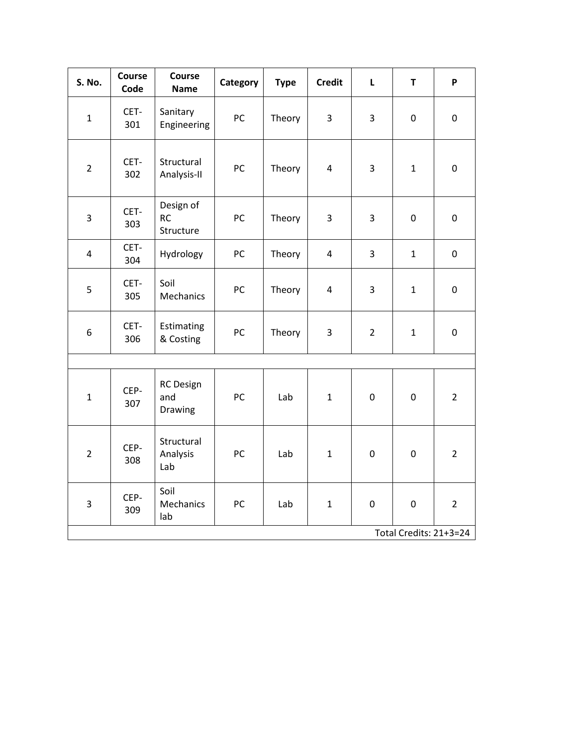| S. No.                 | <b>Course</b><br>Code | <b>Course</b><br><b>Name</b>        | Category | <b>Type</b> | <b>Credit</b>           | L              | $\mathsf T$      | P              |
|------------------------|-----------------------|-------------------------------------|----------|-------------|-------------------------|----------------|------------------|----------------|
| $\mathbf{1}$           | CET-<br>301           | Sanitary<br>Engineering             | PC       | Theory      | 3                       | 3              | $\boldsymbol{0}$ | $\pmb{0}$      |
| $\overline{2}$         | CET-<br>302           | Structural<br>Analysis-II           | PC       | Theory      | $\overline{\mathbf{4}}$ | 3              | $\mathbf{1}$     | $\pmb{0}$      |
| 3                      | CET-<br>303           | Design of<br><b>RC</b><br>Structure | PC       | Theory      | 3                       | 3              | $\boldsymbol{0}$ | $\pmb{0}$      |
| 4                      | CET-<br>304           | Hydrology                           | PC       | Theory      | $\overline{4}$          | 3              | $\mathbf{1}$     | $\mathbf 0$    |
| 5                      | CET-<br>305           | Soil<br>Mechanics                   | PC       | Theory      | $\overline{\mathbf{4}}$ | 3              | $\mathbf{1}$     | $\pmb{0}$      |
| 6                      | CET-<br>306           | Estimating<br>& Costing             | PC       | Theory      | $\mathbf{3}$            | $\overline{2}$ | $\mathbf{1}$     | $\pmb{0}$      |
|                        |                       |                                     |          |             |                         |                |                  |                |
| $\mathbf{1}$           | CEP-<br>307           | <b>RC</b> Design<br>and<br>Drawing  | PC       | Lab         | $\mathbf{1}$            | $\mathbf 0$    | $\pmb{0}$        | $\overline{2}$ |
| $\overline{2}$         | CEP-<br>308           | Structural<br>Analysis<br>Lab       | PC       | Lab         | $\mathbf{1}$            | $\mathbf 0$    | $\boldsymbol{0}$ | $\overline{2}$ |
| 3                      | CEP-<br>309           | Soil<br>Mechanics<br>lab            | PC       | Lab         | $\mathbf{1}$            | $\pmb{0}$      | $\pmb{0}$        | $\overline{2}$ |
| Total Credits: 21+3=24 |                       |                                     |          |             |                         |                |                  |                |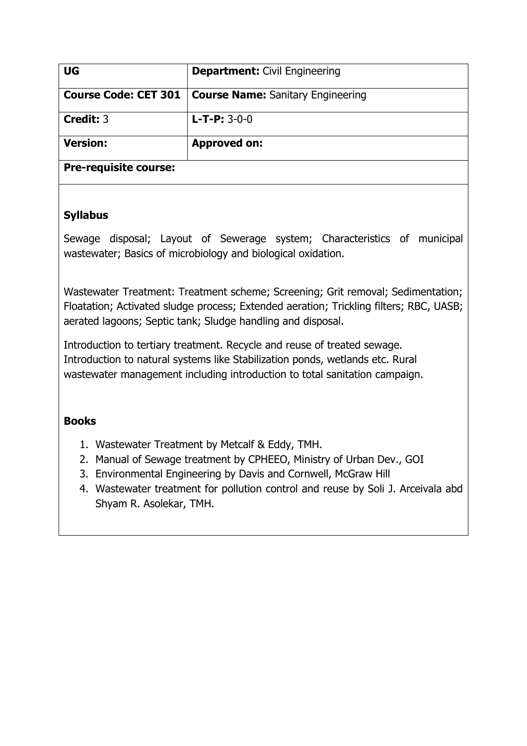| <b>UG</b>                    | <b>Department: Civil Engineering</b>     |
|------------------------------|------------------------------------------|
| <b>Course Code: CET 301</b>  | <b>Course Name:</b> Sanitary Engineering |
| Credit: 3                    | $L$ -T-P: 3-0-0                          |
| <b>Version:</b>              | <b>Approved on:</b>                      |
| <b>Pre-requisite course:</b> |                                          |

Sewage disposal; Layout of Sewerage system; Characteristics of municipal wastewater; Basics of microbiology and biological oxidation.

Wastewater Treatment: Treatment scheme; Screening; Grit removal; Sedimentation; Floatation; Activated sludge process; Extended aeration; Trickling filters; RBC, UASB; aerated lagoons; Septic tank; Sludge handling and disposal.

Introduction to tertiary treatment. Recycle and reuse of treated sewage. Introduction to natural systems like Stabilization ponds, wetlands etc. Rural wastewater management including introduction to total sanitation campaign.

### **Books**

- 1. Wastewater Treatment by Metcalf & Eddy, TMH.
- 2. Manual of Sewage treatment by CPHEEO, Ministry of Urban Dev., GOI
- 3. Environmental Engineering by Davis and Cornwell, McGraw Hill
- 4. Wastewater treatment for pollution control and reuse by Soli J. Arceivala abd Shyam R. Asolekar, TMH.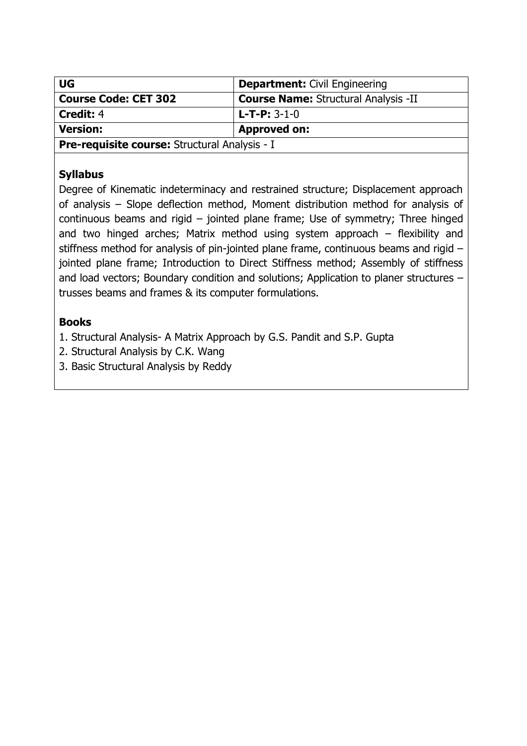| <b>UG</b>                                     | <b>Department: Civil Engineering</b>        |  |
|-----------------------------------------------|---------------------------------------------|--|
| <b>Course Code: CET 302</b>                   | <b>Course Name: Structural Analysis -II</b> |  |
| <b>Credit: 4</b>                              | $L$ -T-P: 3-1-0                             |  |
| <b>Version:</b>                               | <b>Approved on:</b>                         |  |
| Pre-requisite course: Structural Analysis - I |                                             |  |

Degree of Kinematic indeterminacy and restrained structure; Displacement approach of analysis – Slope deflection method, Moment distribution method for analysis of continuous beams and rigid – jointed plane frame; Use of symmetry; Three hinged and two hinged arches; Matrix method using system approach – flexibility and stiffness method for analysis of pin-jointed plane frame, continuous beams and rigid – jointed plane frame; Introduction to Direct Stiffness method; Assembly of stiffness and load vectors; Boundary condition and solutions; Application to planer structures – trusses beams and frames & its computer formulations.

# **Books**

1. Structural Analysis- A Matrix Approach by G.S. Pandit and S.P. Gupta

- 2. Structural Analysis by C.K. Wang
- 3. Basic Structural Analysis by Reddy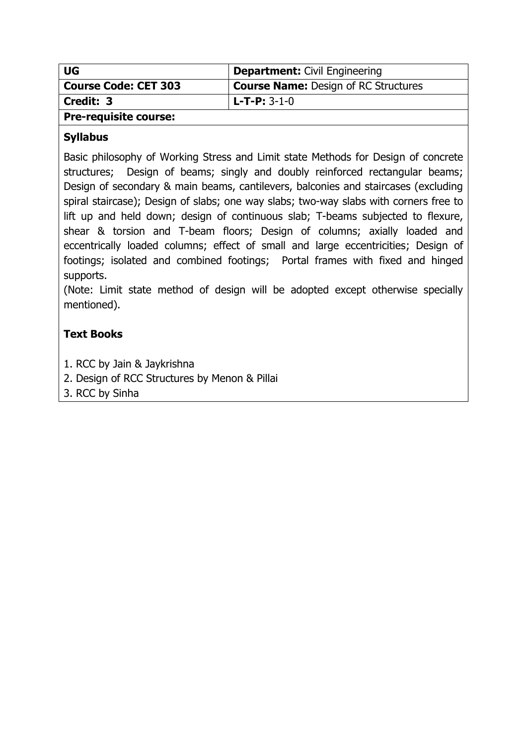| <b>UG</b>                    | <b>Department:</b> Civil Engineering        |
|------------------------------|---------------------------------------------|
| <b>Course Code: CET 303</b>  | <b>Course Name: Design of RC Structures</b> |
| Credit: 3                    | l L-T-P: 3-1-0                              |
| <b>Pre-requisite course:</b> |                                             |

Basic philosophy of Working Stress and Limit state Methods for Design of concrete structures; Design of beams; singly and doubly reinforced rectangular beams; Design of secondary & main beams, cantilevers, balconies and staircases (excluding spiral staircase); Design of slabs; one way slabs; two-way slabs with corners free to lift up and held down; design of continuous slab; T-beams subjected to flexure, shear & torsion and T-beam floors; Design of columns; axially loaded and eccentrically loaded columns; effect of small and large eccentricities; Design of footings; isolated and combined footings; Portal frames with fixed and hinged supports.

(Note: Limit state method of design will be adopted except otherwise specially mentioned).

### **Text Books**

- 1. RCC by Jain & Jaykrishna
- 2. Design of RCC Structures by Menon & Pillai
- 3. RCC by Sinha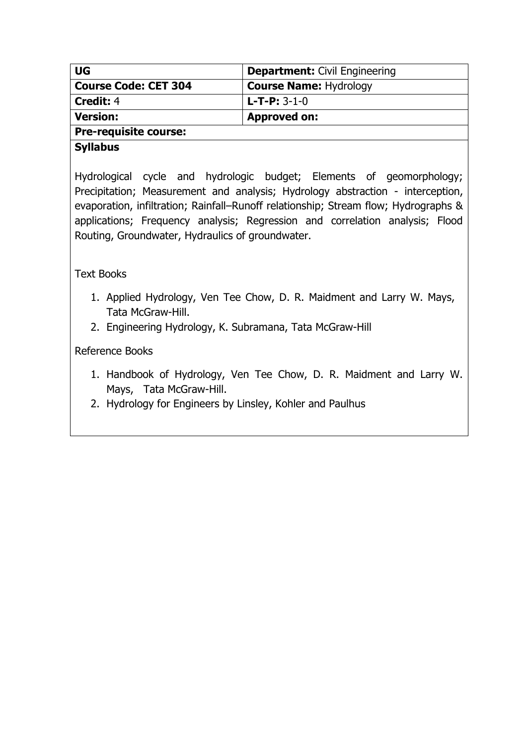| <b>UG</b>                    | <b>Department: Civil Engineering</b> |  |
|------------------------------|--------------------------------------|--|
| <b>Course Code: CET 304</b>  | <b>Course Name: Hydrology</b>        |  |
| <b>Credit: 4</b>             | $L$ -T-P: 3-1-0                      |  |
| <b>Version:</b>              | <b>Approved on:</b>                  |  |
| <b>Pre-requisite course:</b> |                                      |  |

Hydrological cycle and hydrologic budget; Elements of geomorphology; Precipitation; Measurement and analysis; Hydrology abstraction - interception, evaporation, infiltration; Rainfall–Runoff relationship; Stream flow; Hydrographs & applications; Frequency analysis; Regression and correlation analysis; Flood Routing, Groundwater, Hydraulics of groundwater.

#### Text Books

- 1. Applied Hydrology, Ven Tee Chow, D. R. Maidment and Larry W. Mays, Tata McGraw-Hill.
- 2. Engineering Hydrology, K. Subramana, Tata McGraw-Hill

#### Reference Books

- 1. Handbook of Hydrology, Ven Tee Chow, D. R. Maidment and Larry W. Mays, Tata McGraw-Hill.
- 2. Hydrology for Engineers by Linsley, Kohler and Paulhus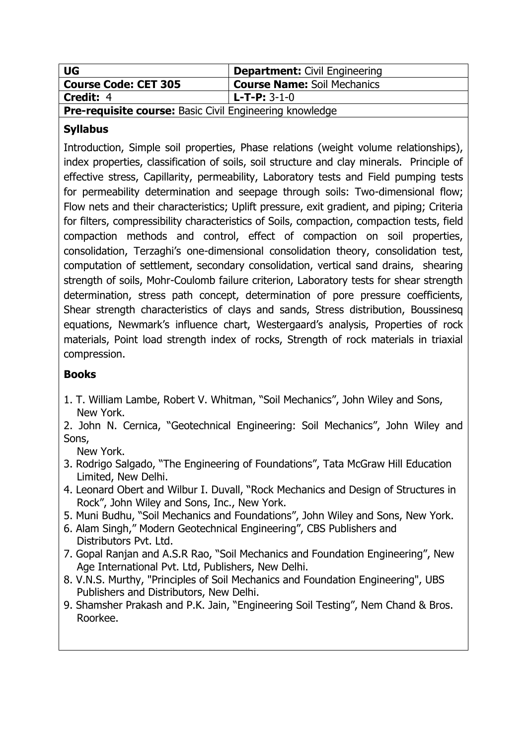| <b>UG</b>                                                      | <b>Department:</b> Civil Engineering |  |
|----------------------------------------------------------------|--------------------------------------|--|
| <b>Course Code: CET 305</b>                                    | <b>Course Name: Soil Mechanics</b>   |  |
| Credit: 4                                                      | l L-T-P: 3-1-0                       |  |
| <b>Pre-requisite course:</b> Basic Civil Engineering knowledge |                                      |  |

Introduction, Simple soil properties, Phase relations (weight volume relationships), index properties, classification of soils, soil structure and clay minerals. Principle of effective stress, Capillarity, permeability, Laboratory tests and Field pumping tests for permeability determination and seepage through soils: Two-dimensional flow; Flow nets and their characteristics; Uplift pressure, exit gradient, and piping; Criteria for filters, compressibility characteristics of Soils, compaction, compaction tests, field compaction methods and control, effect of compaction on soil properties, consolidation, Terzaghi's one-dimensional consolidation theory, consolidation test, computation of settlement, secondary consolidation, vertical sand drains, shearing strength of soils, Mohr-Coulomb failure criterion, Laboratory tests for shear strength determination, stress path concept, determination of pore pressure coefficients, Shear strength characteristics of clays and sands, Stress distribution, Boussinesq equations, Newmark's influence chart, Westergaard's analysis, Properties of rock materials, Point load strength index of rocks, Strength of rock materials in triaxial compression.

# **Books**

- 1. T. William Lambe, Robert V. Whitman, "Soil Mechanics", John Wiley and Sons, New York.
- 2. John N. Cernica, "Geotechnical Engineering: Soil Mechanics", John Wiley and Sons,

New York.

- 3. Rodrigo Salgado, "The Engineering of Foundations", Tata McGraw Hill Education Limited, New Delhi.
- 4. Leonard Obert and Wilbur I. Duvall, "Rock Mechanics and Design of Structures in Rock", John Wiley and Sons, Inc., New York.
- 5. Muni Budhu, "Soil Mechanics and Foundations", John Wiley and Sons, New York.
- 6. Alam Singh," Modern Geotechnical Engineering", CBS Publishers and Distributors Pvt. Ltd.
- 7. Gopal Ranjan and A.S.R Rao, "Soil Mechanics and Foundation Engineering", New Age International Pvt. Ltd, Publishers, New Delhi.
- 8. V.N.S. Murthy, "Principles of Soil Mechanics and Foundation Engineering", UBS Publishers and Distributors, New Delhi.
- 9. Shamsher Prakash and P.K. Jain, "Engineering Soil Testing", Nem Chand & Bros. Roorkee.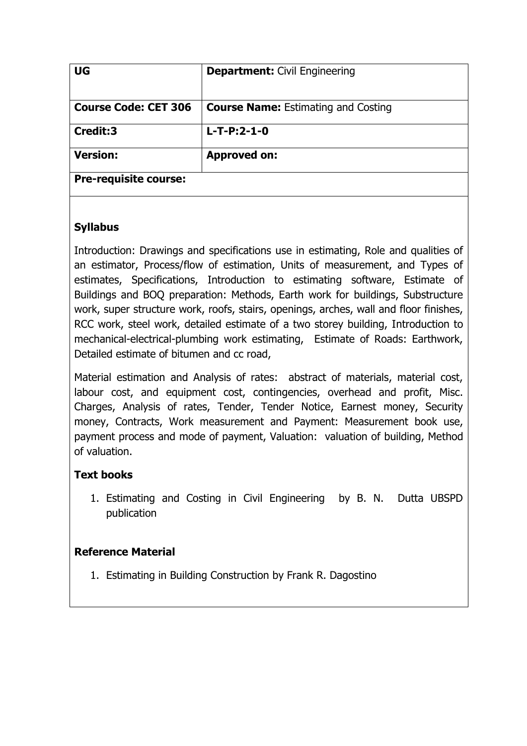| <b>UG</b>                    | <b>Department: Civil Engineering</b>       |
|------------------------------|--------------------------------------------|
| <b>Course Code: CET 306</b>  | <b>Course Name: Estimating and Costing</b> |
| Credit:3                     | $L-T-P:2-1-0$                              |
| <b>Version:</b>              | <b>Approved on:</b>                        |
| <b>Pre-requisite course:</b> |                                            |

Introduction: Drawings and specifications use in estimating, Role and qualities of an estimator, Process/flow of estimation, Units of measurement, and Types of estimates, Specifications, Introduction to estimating software, Estimate of Buildings and BOQ preparation: Methods, Earth work for buildings, Substructure work, super structure work, roofs, stairs, openings, arches, wall and floor finishes, RCC work, steel work, detailed estimate of a two storey building, Introduction to mechanical-electrical-plumbing work estimating, Estimate of Roads: Earthwork, Detailed estimate of bitumen and cc road,

Material estimation and Analysis of rates: abstract of materials, material cost, labour cost, and equipment cost, contingencies, overhead and profit, Misc. Charges, Analysis of rates, Tender, Tender Notice, Earnest money, Security money, Contracts, Work measurement and Payment: Measurement book use, payment process and mode of payment, Valuation: valuation of building, Method of valuation.

### **Text books**

1. Estimating and Costing in Civil Engineering by B. N. Dutta UBSPD publication

### **Reference Material**

1. Estimating in Building Construction by Frank R. Dagostino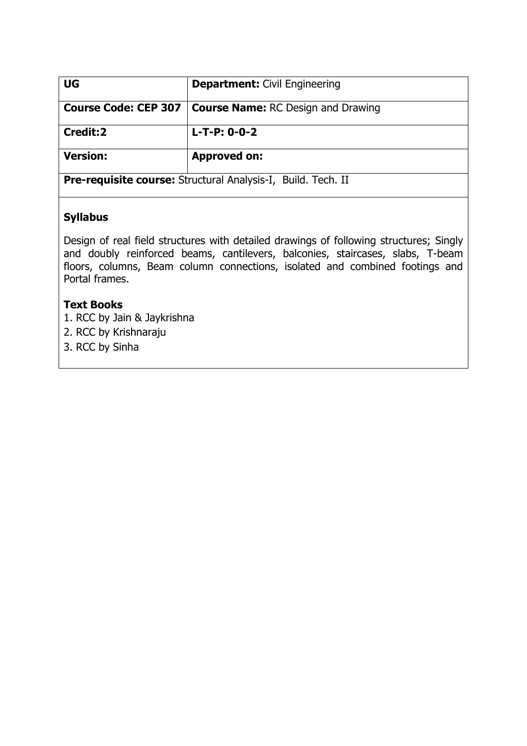| <b>UG</b>                                                           | <b>Department: Civil Engineering</b>                             |  |
|---------------------------------------------------------------------|------------------------------------------------------------------|--|
|                                                                     | <b>Course Code: CEP 307   Course Name: RC Design and Drawing</b> |  |
| Credit:2                                                            | $L-T-P: 0-0-2$                                                   |  |
| <b>Version:</b>                                                     | <b>Approved on:</b>                                              |  |
| <b>Pre-requisite course:</b> Structural Analysis-I, Build. Tech. II |                                                                  |  |

Design of real field structures with detailed drawings of following structures; Singly and doubly reinforced beams, cantilevers, balconies, staircases, slabs, T-beam floors, columns, Beam column connections, isolated and combined footings and Portal frames.

#### **Text Books**

- 1. RCC by Jain & Jaykrishna
- 2. RCC by Krishnaraju
- 3. RCC by Sinha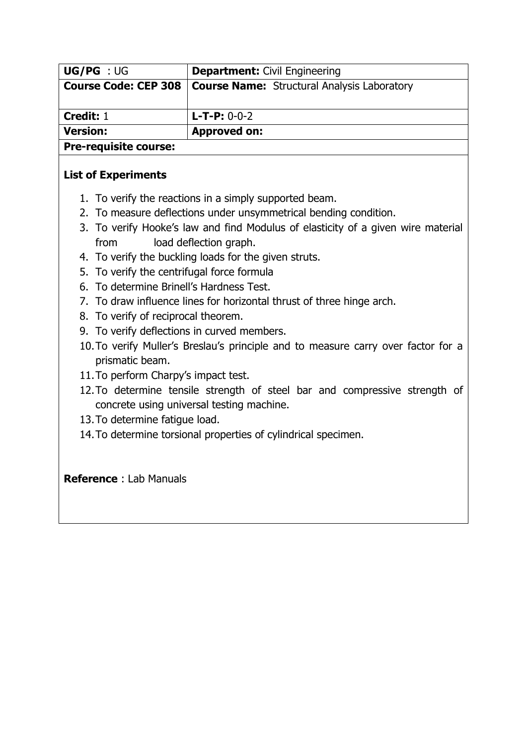| <b>UG/PG</b> : UG            | <b>Department: Civil Engineering</b>               |  |  |
|------------------------------|----------------------------------------------------|--|--|
| <b>Course Code: CEP 308</b>  | <b>Course Name:</b> Structural Analysis Laboratory |  |  |
| Credit: 1                    | $L$ -T-P: 0-0-2                                    |  |  |
| <b>Version:</b>              | <b>Approved on:</b>                                |  |  |
| <b>Pre-requisite course:</b> |                                                    |  |  |

## **List of Experiments**

- 1. To verify the reactions in a simply supported beam.
- 2. To measure deflections under unsymmetrical bending condition.
- 3. To verify Hooke's law and find Modulus of elasticity of a given wire material from load deflection graph.
- 4. To verify the buckling loads for the given struts.
- 5. To verify the centrifugal force formula
- 6. To determine Brinell's Hardness Test.
- 7. To draw influence lines for horizontal thrust of three hinge arch.
- 8. To verify of reciprocal theorem.
- 9. To verify deflections in curved members.
- 10.To verify Muller's Breslau's principle and to measure carry over factor for a prismatic beam.
- 11.To perform Charpy's impact test.
- 12.To determine tensile strength of steel bar and compressive strength of concrete using universal testing machine.
- 13.To determine fatigue load.
- 14.To determine torsional properties of cylindrical specimen.

**Reference** : Lab Manuals